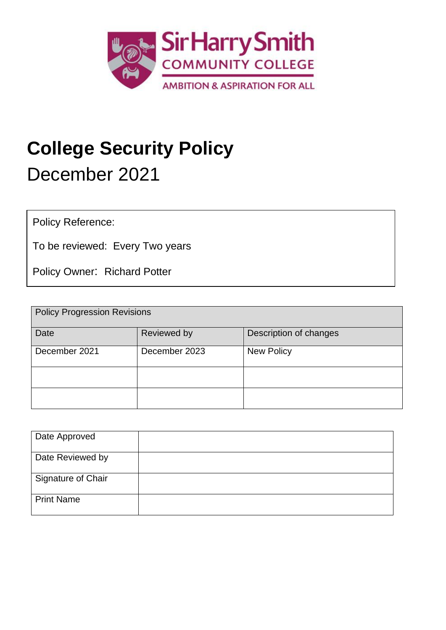

# **College Security Policy** December 2021

Policy Reference:

To be reviewed: Every Two years

Policy Owner: Richard Potter

| <b>Policy Progression Revisions</b> |               |                        |  |  |
|-------------------------------------|---------------|------------------------|--|--|
| Date                                | Reviewed by   | Description of changes |  |  |
| December 2021                       | December 2023 | <b>New Policy</b>      |  |  |
|                                     |               |                        |  |  |
|                                     |               |                        |  |  |

| Date Approved      |  |
|--------------------|--|
| Date Reviewed by   |  |
| Signature of Chair |  |
| <b>Print Name</b>  |  |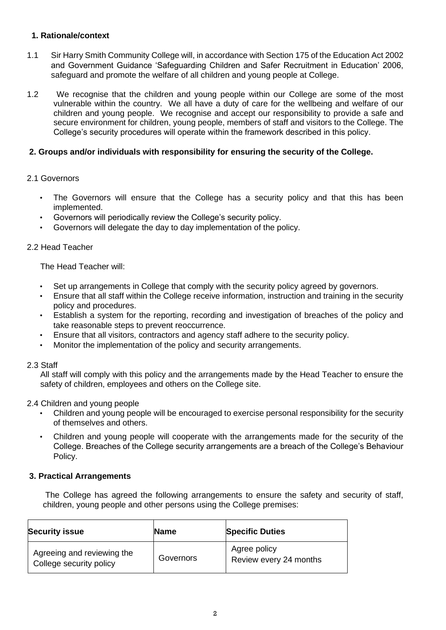# **1. Rationale/context**

- 1.1 Sir Harry Smith Community College will, in accordance with Section 175 of the Education Act 2002 and Government Guidance 'Safeguarding Children and Safer Recruitment in Education' 2006, safeguard and promote the welfare of all children and young people at College.
- 1.2 We recognise that the children and young people within our College are some of the most vulnerable within the country. We all have a duty of care for the wellbeing and welfare of our children and young people. We recognise and accept our responsibility to provide a safe and secure environment for children, young people, members of staff and visitors to the College. The College's security procedures will operate within the framework described in this policy.

# **2. Groups and/or individuals with responsibility for ensuring the security of the College.**

## 2.1 Governors

- The Governors will ensure that the College has a security policy and that this has been implemented.
- Governors will periodically review the College's security policy.
- Governors will delegate the day to day implementation of the policy.

## 2.2 Head Teacher

The Head Teacher will:

- Set up arrangements in College that comply with the security policy agreed by governors.
- Ensure that all staff within the College receive information, instruction and training in the security policy and procedures.
- Establish a system for the reporting, recording and investigation of breaches of the policy and take reasonable steps to prevent reoccurrence.
- Ensure that all visitors, contractors and agency staff adhere to the security policy.
- Monitor the implementation of the policy and security arrangements.

## 2.3 Staff

All staff will comply with this policy and the arrangements made by the Head Teacher to ensure the safety of children, employees and others on the College site.

## 2.4 Children and young people

- Children and young people will be encouraged to exercise personal responsibility for the security of themselves and others.
- Children and young people will cooperate with the arrangements made for the security of the College. Breaches of the College security arrangements are a breach of the College's Behaviour Policy.

## **3. Practical Arrangements**

The College has agreed the following arrangements to ensure the safety and security of staff, children, young people and other persons using the College premises:

| <b>Security issue</b>                                 | <b>Name</b> | <b>Specific Duties</b>                 |
|-------------------------------------------------------|-------------|----------------------------------------|
| Agreeing and reviewing the<br>College security policy | Governors   | Agree policy<br>Review every 24 months |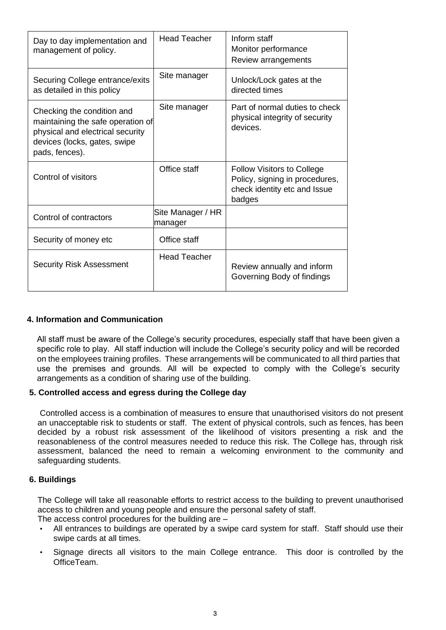| Day to day implementation and<br>management of policy.                                                                                                | <b>Head Teacher</b>          | Inform staff<br>Monitor performance<br>Review arrangements                                                    |
|-------------------------------------------------------------------------------------------------------------------------------------------------------|------------------------------|---------------------------------------------------------------------------------------------------------------|
| Securing College entrance/exits<br>as detailed in this policy                                                                                         | Site manager                 | Unlock/Lock gates at the<br>directed times                                                                    |
| Checking the condition and<br>maintaining the safe operation of<br>physical and electrical security<br>devices (locks, gates, swipe<br>pads, fences). | Site manager                 | Part of normal duties to check<br>physical integrity of security<br>devices.                                  |
| Control of visitors                                                                                                                                   | Office staff                 | <b>Follow Visitors to College</b><br>Policy, signing in procedures,<br>check identity etc and Issue<br>badges |
| Control of contractors                                                                                                                                | Site Manager / HR<br>manager |                                                                                                               |
| Security of money etc                                                                                                                                 | Office staff                 |                                                                                                               |
| <b>Security Risk Assessment</b>                                                                                                                       | <b>Head Teacher</b>          | Review annually and inform<br>Governing Body of findings                                                      |

## **4. Information and Communication**

All staff must be aware of the College's security procedures, especially staff that have been given a specific role to play. All staff induction will include the College's security policy and will be recorded on the employees training profiles. These arrangements will be communicated to all third parties that use the premises and grounds. All will be expected to comply with the College's security arrangements as a condition of sharing use of the building.

## **5. Controlled access and egress during the College day**

Controlled access is a combination of measures to ensure that unauthorised visitors do not present an unacceptable risk to students or staff. The extent of physical controls, such as fences, has been decided by a robust risk assessment of the likelihood of visitors presenting a risk and the reasonableness of the control measures needed to reduce this risk. The College has, through risk assessment, balanced the need to remain a welcoming environment to the community and safeguarding students.

## **6. Buildings**

The College will take all reasonable efforts to restrict access to the building to prevent unauthorised access to children and young people and ensure the personal safety of staff.

The access control procedures for the building are –

- All entrances to buildings are operated by a swipe card system for staff. Staff should use their swipe cards at all times.
- Signage directs all visitors to the main College entrance. This door is controlled by the OfficeTeam.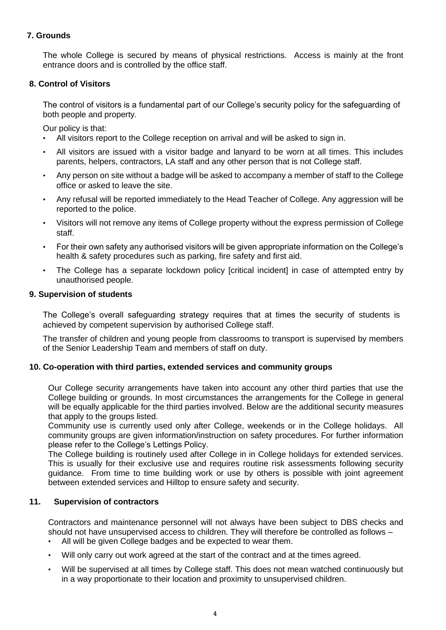# **7. Grounds**

The whole College is secured by means of physical restrictions. Access is mainly at the front entrance doors and is controlled by the office staff.

## **8. Control of Visitors**

The control of visitors is a fundamental part of our College's security policy for the safeguarding of both people and property.

Our policy is that:

- All visitors report to the College reception on arrival and will be asked to sign in.
- All visitors are issued with a visitor badge and lanyard to be worn at all times. This includes parents, helpers, contractors, LA staff and any other person that is not College staff.
- Any person on site without a badge will be asked to accompany a member of staff to the College office or asked to leave the site.
- Any refusal will be reported immediately to the Head Teacher of College. Any aggression will be reported to the police.
- Visitors will not remove any items of College property without the express permission of College staff.
- For their own safety any authorised visitors will be given appropriate information on the College's health & safety procedures such as parking, fire safety and first aid.
- The College has a separate lockdown policy [critical incident] in case of attempted entry by unauthorised people.

#### **9. Supervision of students**

The College's overall safeguarding strategy requires that at times the security of students is achieved by competent supervision by authorised College staff.

The transfer of children and young people from classrooms to transport is supervised by members of the Senior Leadership Team and members of staff on duty.

#### **10. Co-operation with third parties, extended services and community groups**

Our College security arrangements have taken into account any other third parties that use the College building or grounds. In most circumstances the arrangements for the College in general will be equally applicable for the third parties involved. Below are the additional security measures that apply to the groups listed.

Community use is currently used only after College, weekends or in the College holidays. All community groups are given information/instruction on safety procedures. For further information please refer to the College's Lettings Policy.

The College building is routinely used after College in in College holidays for extended services. This is usually for their exclusive use and requires routine risk assessments following security guidance. From time to time building work or use by others is possible with joint agreement between extended services and Hilltop to ensure safety and security.

## **11. Supervision of contractors**

Contractors and maintenance personnel will not always have been subject to DBS checks and should not have unsupervised access to children. They will therefore be controlled as follows –

- All will be given College badges and be expected to wear them.
- Will only carry out work agreed at the start of the contract and at the times agreed.
- Will be supervised at all times by College staff. This does not mean watched continuously but in a way proportionate to their location and proximity to unsupervised children.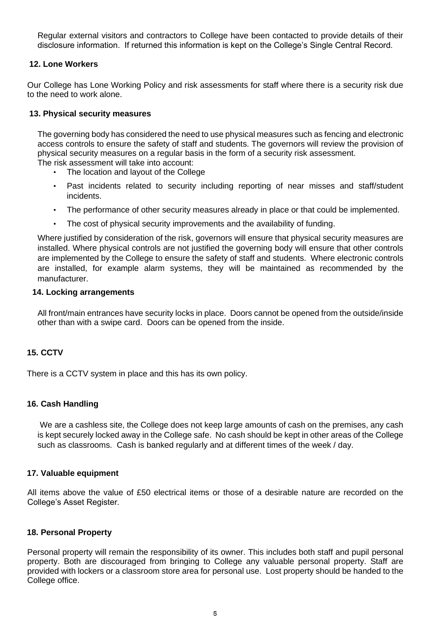Regular external visitors and contractors to College have been contacted to provide details of their disclosure information. If returned this information is kept on the College's Single Central Record.

### **12. Lone Workers**

Our College has Lone Working Policy and risk assessments for staff where there is a security risk due to the need to work alone.

## **13. Physical security measures**

The governing body has considered the need to use physical measures such as fencing and electronic access controls to ensure the safety of staff and students. The governors will review the provision of physical security measures on a regular basis in the form of a security risk assessment. The risk assessment will take into account:

- The location and layout of the College
- Past incidents related to security including reporting of near misses and staff/student incidents.
- The performance of other security measures already in place or that could be implemented.
- The cost of physical security improvements and the availability of funding.

Where justified by consideration of the risk, governors will ensure that physical security measures are installed. Where physical controls are not justified the governing body will ensure that other controls are implemented by the College to ensure the safety of staff and students. Where electronic controls are installed, for example alarm systems, they will be maintained as recommended by the manufacturer.

### **14. Locking arrangements**

All front/main entrances have security locks in place. Doors cannot be opened from the outside/inside other than with a swipe card. Doors can be opened from the inside.

## **15. CCTV**

There is a CCTV system in place and this has its own policy.

#### **16. Cash Handling**

We are a cashless site, the College does not keep large amounts of cash on the premises, any cash is kept securely locked away in the College safe. No cash should be kept in other areas of the College such as classrooms. Cash is banked regularly and at different times of the week / day.

#### **17. Valuable equipment**

All items above the value of £50 electrical items or those of a desirable nature are recorded on the College's Asset Register.

#### **18. Personal Property**

Personal property will remain the responsibility of its owner. This includes both staff and pupil personal property. Both are discouraged from bringing to College any valuable personal property. Staff are provided with lockers or a classroom store area for personal use. Lost property should be handed to the College office.